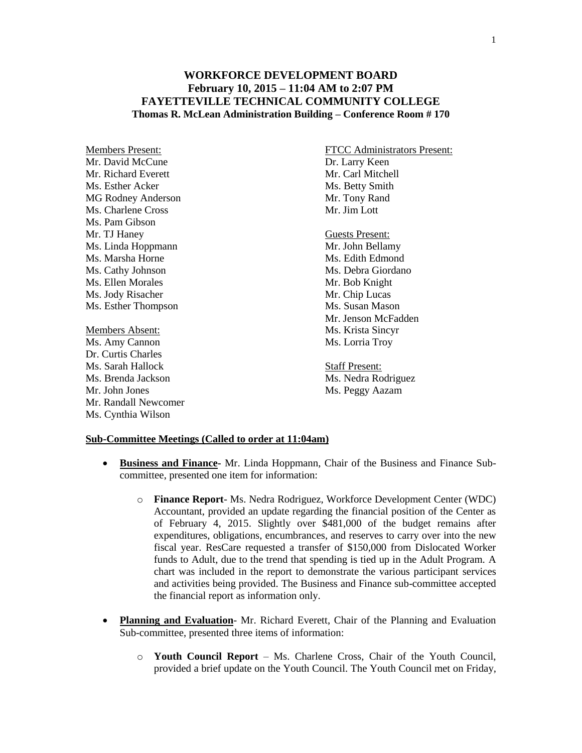## **WORKFORCE DEVELOPMENT BOARD February 10, 2015 – 11:04 AM to 2:07 PM FAYETTEVILLE TECHNICAL COMMUNITY COLLEGE Thomas R. McLean Administration Building – Conference Room # 170**

Mr. David McCune Dr. Larry Keen Mr. Richard Everett Mr. Carl Mitchell Ms. Esther Acker Ms. Betty Smith MG Rodney Anderson Mr. Tony Rand Ms. Charlene Cross Mr. Jim Lott Ms. Pam Gibson Mr. TJ Haney<br>
Ms. Linda Hoppmann<br>
Ms. Linda Hoppmann Ms. Linda Hoppmann Ms. Marsha Horne Ms. Edith Edmond Ms. Cathy Johnson Ms. Debra Giordano Ms. Ellen Morales Mr. Bob Knight Ms. Jody Risacher Mr. Chip Lucas Ms. Esther Thompson Ms. Susan Mason Members Absent: Ms. Krista Sincyr

Ms. Amy Cannon Ms. Lorria Troy Dr. Curtis Charles Ms. Sarah Hallock Staff Present: Ms. Brenda Jackson Ms. Nedra Rodriguez Mr. John Jones Ms. Peggy Aazam Mr. Randall Newcomer Ms. Cynthia Wilson

Members Present: FTCC Administrators Present:

Mr. Jenson McFadden

## **Sub-Committee Meetings (Called to order at 11:04am)**

- **Business and Finance-** Mr. Linda Hoppmann, Chair of the Business and Finance Subcommittee, presented one item for information:
	- o **Finance Report** Ms. Nedra Rodriguez, Workforce Development Center (WDC) Accountant, provided an update regarding the financial position of the Center as of February 4, 2015. Slightly over \$481,000 of the budget remains after expenditures, obligations, encumbrances, and reserves to carry over into the new fiscal year. ResCare requested a transfer of \$150,000 from Dislocated Worker funds to Adult, due to the trend that spending is tied up in the Adult Program. A chart was included in the report to demonstrate the various participant services and activities being provided. The Business and Finance sub-committee accepted the financial report as information only.
- **Planning and Evaluation** Mr. Richard Everett, Chair of the Planning and Evaluation Sub-committee, presented three items of information:
	- o **Youth Council Report**  Ms. Charlene Cross, Chair of the Youth Council, provided a brief update on the Youth Council. The Youth Council met on Friday,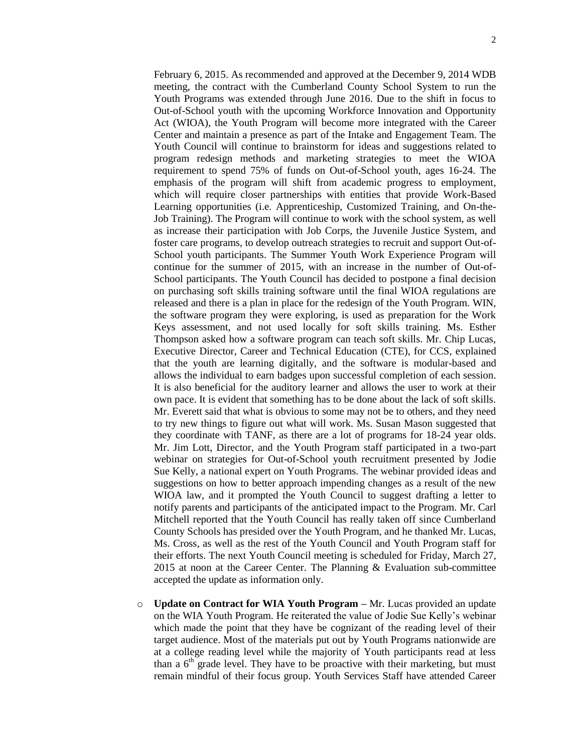February 6, 2015. As recommended and approved at the December 9, 2014 WDB meeting, the contract with the Cumberland County School System to run the Youth Programs was extended through June 2016. Due to the shift in focus to Out-of-School youth with the upcoming Workforce Innovation and Opportunity Act (WIOA), the Youth Program will become more integrated with the Career Center and maintain a presence as part of the Intake and Engagement Team. The Youth Council will continue to brainstorm for ideas and suggestions related to program redesign methods and marketing strategies to meet the WIOA requirement to spend 75% of funds on Out-of-School youth, ages 16-24. The emphasis of the program will shift from academic progress to employment, which will require closer partnerships with entities that provide Work-Based Learning opportunities (i.e. Apprenticeship, Customized Training, and On-the-Job Training). The Program will continue to work with the school system, as well as increase their participation with Job Corps, the Juvenile Justice System, and foster care programs, to develop outreach strategies to recruit and support Out-of-School youth participants. The Summer Youth Work Experience Program will continue for the summer of 2015, with an increase in the number of Out-of-School participants. The Youth Council has decided to postpone a final decision on purchasing soft skills training software until the final WIOA regulations are released and there is a plan in place for the redesign of the Youth Program. WIN, the software program they were exploring, is used as preparation for the Work Keys assessment, and not used locally for soft skills training. Ms. Esther Thompson asked how a software program can teach soft skills. Mr. Chip Lucas, Executive Director, Career and Technical Education (CTE), for CCS, explained that the youth are learning digitally, and the software is modular-based and allows the individual to earn badges upon successful completion of each session. It is also beneficial for the auditory learner and allows the user to work at their own pace. It is evident that something has to be done about the lack of soft skills. Mr. Everett said that what is obvious to some may not be to others, and they need to try new things to figure out what will work. Ms. Susan Mason suggested that they coordinate with TANF, as there are a lot of programs for 18-24 year olds. Mr. Jim Lott, Director, and the Youth Program staff participated in a two-part webinar on strategies for Out-of-School youth recruitment presented by Jodie Sue Kelly, a national expert on Youth Programs. The webinar provided ideas and suggestions on how to better approach impending changes as a result of the new WIOA law, and it prompted the Youth Council to suggest drafting a letter to notify parents and participants of the anticipated impact to the Program. Mr. Carl Mitchell reported that the Youth Council has really taken off since Cumberland County Schools has presided over the Youth Program, and he thanked Mr. Lucas, Ms. Cross, as well as the rest of the Youth Council and Youth Program staff for their efforts. The next Youth Council meeting is scheduled for Friday, March 27, 2015 at noon at the Career Center. The Planning & Evaluation sub-committee accepted the update as information only.

o **Update on Contract for WIA Youth Program –** Mr. Lucas provided an update on the WIA Youth Program. He reiterated the value of Jodie Sue Kelly's webinar which made the point that they have be cognizant of the reading level of their target audience. Most of the materials put out by Youth Programs nationwide are at a college reading level while the majority of Youth participants read at less than a  $6<sup>th</sup>$  grade level. They have to be proactive with their marketing, but must remain mindful of their focus group. Youth Services Staff have attended Career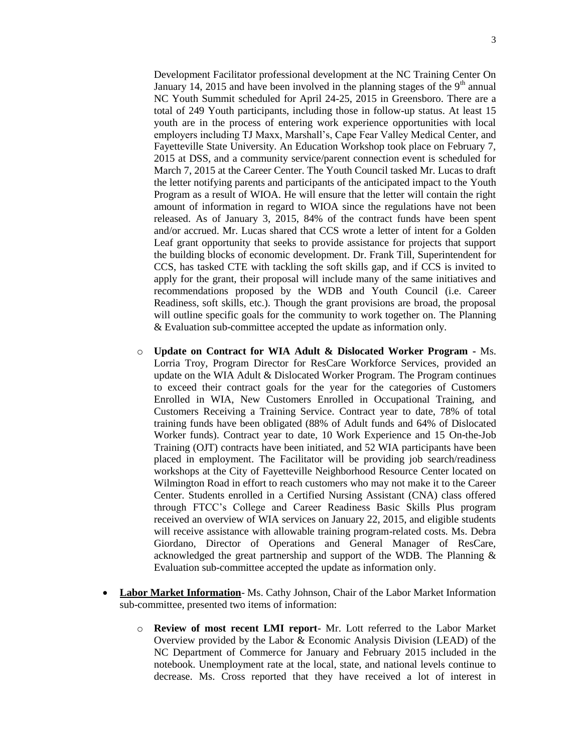Development Facilitator professional development at the NC Training Center On January 14, 2015 and have been involved in the planning stages of the  $9<sup>th</sup>$  annual NC Youth Summit scheduled for April 24-25, 2015 in Greensboro. There are a total of 249 Youth participants, including those in follow-up status. At least 15 youth are in the process of entering work experience opportunities with local employers including TJ Maxx, Marshall's, Cape Fear Valley Medical Center, and Fayetteville State University. An Education Workshop took place on February 7, 2015 at DSS, and a community service/parent connection event is scheduled for March 7, 2015 at the Career Center. The Youth Council tasked Mr. Lucas to draft the letter notifying parents and participants of the anticipated impact to the Youth Program as a result of WIOA. He will ensure that the letter will contain the right amount of information in regard to WIOA since the regulations have not been released. As of January 3, 2015, 84% of the contract funds have been spent and/or accrued. Mr. Lucas shared that CCS wrote a letter of intent for a Golden Leaf grant opportunity that seeks to provide assistance for projects that support the building blocks of economic development. Dr. Frank Till, Superintendent for CCS, has tasked CTE with tackling the soft skills gap, and if CCS is invited to apply for the grant, their proposal will include many of the same initiatives and recommendations proposed by the WDB and Youth Council (i.e. Career Readiness, soft skills, etc.). Though the grant provisions are broad, the proposal will outline specific goals for the community to work together on. The Planning & Evaluation sub-committee accepted the update as information only.

- o **Update on Contract for WIA Adult & Dislocated Worker Program -** Ms. Lorria Troy, Program Director for ResCare Workforce Services, provided an update on the WIA Adult & Dislocated Worker Program. The Program continues to exceed their contract goals for the year for the categories of Customers Enrolled in WIA, New Customers Enrolled in Occupational Training, and Customers Receiving a Training Service. Contract year to date, 78% of total training funds have been obligated (88% of Adult funds and 64% of Dislocated Worker funds). Contract year to date, 10 Work Experience and 15 On-the-Job Training (OJT) contracts have been initiated, and 52 WIA participants have been placed in employment. The Facilitator will be providing job search/readiness workshops at the City of Fayetteville Neighborhood Resource Center located on Wilmington Road in effort to reach customers who may not make it to the Career Center. Students enrolled in a Certified Nursing Assistant (CNA) class offered through FTCC's College and Career Readiness Basic Skills Plus program received an overview of WIA services on January 22, 2015, and eligible students will receive assistance with allowable training program-related costs. Ms. Debra Giordano, Director of Operations and General Manager of ResCare, acknowledged the great partnership and support of the WDB. The Planning & Evaluation sub-committee accepted the update as information only.
- **Labor Market Information** Ms. Cathy Johnson, Chair of the Labor Market Information sub-committee, presented two items of information:
	- o **Review of most recent LMI report** Mr. Lott referred to the Labor Market Overview provided by the Labor & Economic Analysis Division (LEAD) of the NC Department of Commerce for January and February 2015 included in the notebook. Unemployment rate at the local, state, and national levels continue to decrease. Ms. Cross reported that they have received a lot of interest in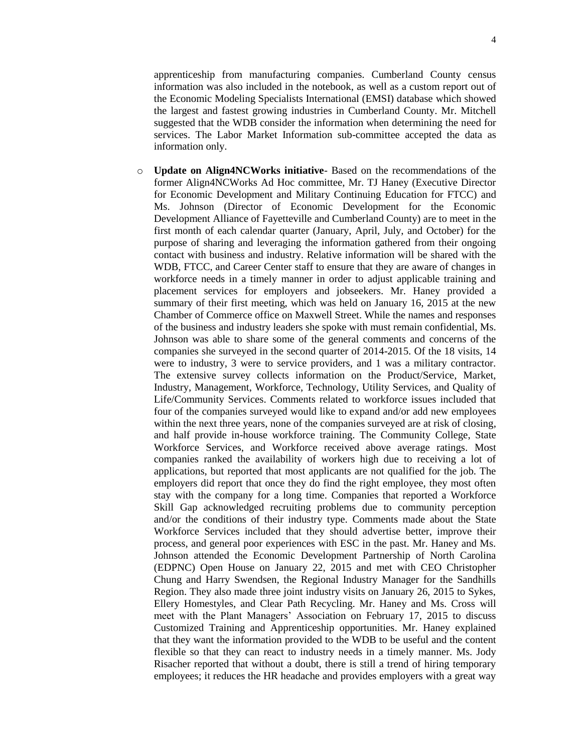apprenticeship from manufacturing companies. Cumberland County census information was also included in the notebook, as well as a custom report out of the Economic Modeling Specialists International (EMSI) database which showed the largest and fastest growing industries in Cumberland County. Mr. Mitchell suggested that the WDB consider the information when determining the need for services. The Labor Market Information sub-committee accepted the data as information only.

o **Update on Align4NCWorks initiative**- Based on the recommendations of the former Align4NCWorks Ad Hoc committee, Mr. TJ Haney (Executive Director for Economic Development and Military Continuing Education for FTCC) and Ms. Johnson (Director of Economic Development for the Economic Development Alliance of Fayetteville and Cumberland County) are to meet in the first month of each calendar quarter (January, April, July, and October) for the purpose of sharing and leveraging the information gathered from their ongoing contact with business and industry. Relative information will be shared with the WDB, FTCC, and Career Center staff to ensure that they are aware of changes in workforce needs in a timely manner in order to adjust applicable training and placement services for employers and jobseekers. Mr. Haney provided a summary of their first meeting, which was held on January 16, 2015 at the new Chamber of Commerce office on Maxwell Street. While the names and responses of the business and industry leaders she spoke with must remain confidential, Ms. Johnson was able to share some of the general comments and concerns of the companies she surveyed in the second quarter of 2014-2015. Of the 18 visits, 14 were to industry, 3 were to service providers, and 1 was a military contractor. The extensive survey collects information on the Product/Service, Market, Industry, Management, Workforce, Technology, Utility Services, and Quality of Life/Community Services. Comments related to workforce issues included that four of the companies surveyed would like to expand and/or add new employees within the next three years, none of the companies surveyed are at risk of closing, and half provide in-house workforce training. The Community College, State Workforce Services, and Workforce received above average ratings. Most companies ranked the availability of workers high due to receiving a lot of applications, but reported that most applicants are not qualified for the job. The employers did report that once they do find the right employee, they most often stay with the company for a long time. Companies that reported a Workforce Skill Gap acknowledged recruiting problems due to community perception and/or the conditions of their industry type. Comments made about the State Workforce Services included that they should advertise better, improve their process, and general poor experiences with ESC in the past. Mr. Haney and Ms. Johnson attended the Economic Development Partnership of North Carolina (EDPNC) Open House on January 22, 2015 and met with CEO Christopher Chung and Harry Swendsen, the Regional Industry Manager for the Sandhills Region. They also made three joint industry visits on January 26, 2015 to Sykes, Ellery Homestyles, and Clear Path Recycling. Mr. Haney and Ms. Cross will meet with the Plant Managers' Association on February 17, 2015 to discuss Customized Training and Apprenticeship opportunities. Mr. Haney explained that they want the information provided to the WDB to be useful and the content flexible so that they can react to industry needs in a timely manner. Ms. Jody Risacher reported that without a doubt, there is still a trend of hiring temporary employees; it reduces the HR headache and provides employers with a great way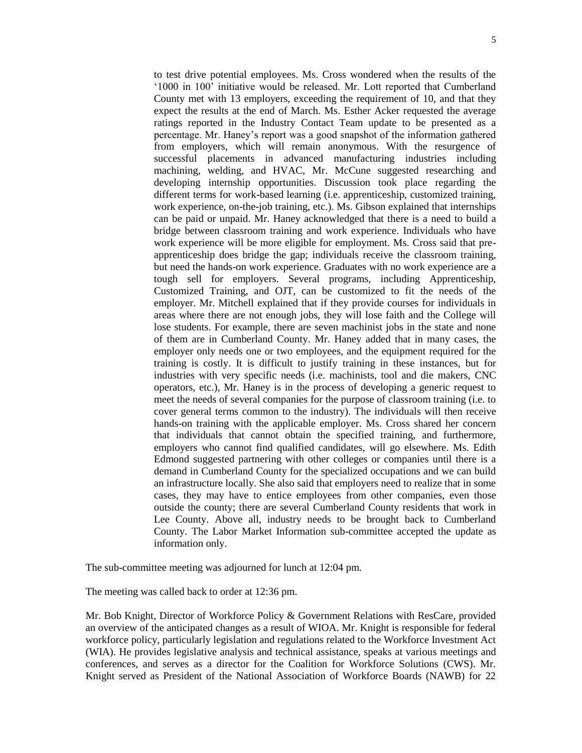to test drive potential employees. Ms. Cross wondered when the results of the '1000 in 100' initiative would be released. Mr. Lott reported that Cumberland County met with 13 employers, exceeding the requirement of 10, and that they expect the results at the end of March. Ms. Esther Acker requested the average ratings reported in the Industry Contact Team update to be presented as a percentage. Mr. Haney's report was a good snapshot of the information gathered from employers, which will remain anonymous. With the resurgence of successful placements in advanced manufacturing industries including machining, welding, and HVAC, Mr. McCune suggested researching and developing internship opportunities. Discussion took place regarding the different terms for work-based learning (i.e. apprenticeship, customized training, work experience, on-the-job training, etc.). Ms. Gibson explained that internships can be paid or unpaid. Mr. Haney acknowledged that there is a need to build a bridge between classroom training and work experience. Individuals who have work experience will be more eligible for employment. Ms. Cross said that preapprenticeship does bridge the gap; individuals receive the classroom training, but need the hands-on work experience. Graduates with no work experience are a tough sell for employers. Several programs, including Apprenticeship, Customized Training, and OJT, can be customized to fit the needs of the employer. Mr. Mitchell explained that if they provide courses for individuals in areas where there are not enough jobs, they will lose faith and the College will lose students. For example, there are seven machinist jobs in the state and none of them are in Cumberland County. Mr. Haney added that in many cases, the employer only needs one or two employees, and the equipment required for the training is costly. It is difficult to justify training in these instances, but for industries with very specific needs (i.e. machinists, tool and die makers, CNC operators, etc.), Mr. Haney is in the process of developing a generic request to meet the needs of several companies for the purpose of classroom training (i.e. to cover general terms common to the industry). The individuals will then receive hands-on training with the applicable employer. Ms. Cross shared her concern that individuals that cannot obtain the specified training, and furthermore, employers who cannot find qualified candidates, will go elsewhere. Ms. Edith Edmond suggested partnering with other colleges or companies until there is a demand in Cumberland County for the specialized occupations and we can build an infrastructure locally. She also said that employers need to realize that in some cases, they may have to entice employees from other companies, even those outside the county; there are several Cumberland County residents that work in Lee County. Above all, industry needs to be brought back to Cumberland County. The Labor Market Information sub-committee accepted the update as information only.

The sub-committee meeting was adjourned for lunch at 12:04 pm.

The meeting was called back to order at 12:36 pm.

Mr. Bob Knight, Director of Workforce Policy & Government Relations with ResCare, provided an overview of the anticipated changes as a result of WIOA. Mr. Knight is responsible for federal workforce policy, particularly legislation and regulations related to the Workforce Investment Act (WIA). He provides legislative analysis and technical assistance, speaks at various meetings and conferences, and serves as a director for the Coalition for Workforce Solutions (CWS). Mr. Knight served as President of the National Association of Workforce Boards (NAWB) for 22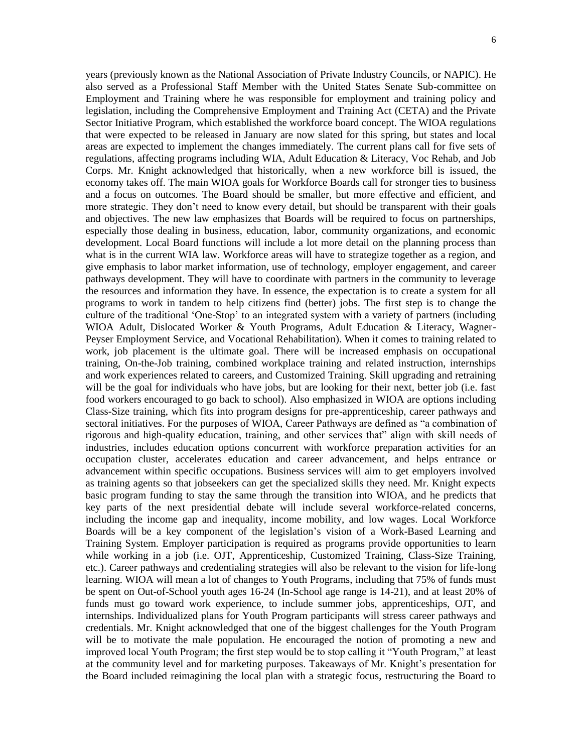years (previously known as the National Association of Private Industry Councils, or NAPIC). He also served as a Professional Staff Member with the United States Senate Sub-committee on Employment and Training where he was responsible for employment and training policy and legislation, including the Comprehensive Employment and Training Act (CETA) and the Private Sector Initiative Program, which established the workforce board concept. The WIOA regulations that were expected to be released in January are now slated for this spring, but states and local areas are expected to implement the changes immediately. The current plans call for five sets of regulations, affecting programs including WIA, Adult Education & Literacy, Voc Rehab, and Job Corps. Mr. Knight acknowledged that historically, when a new workforce bill is issued, the economy takes off. The main WIOA goals for Workforce Boards call for stronger ties to business and a focus on outcomes. The Board should be smaller, but more effective and efficient, and more strategic. They don't need to know every detail, but should be transparent with their goals and objectives. The new law emphasizes that Boards will be required to focus on partnerships, especially those dealing in business, education, labor, community organizations, and economic development. Local Board functions will include a lot more detail on the planning process than what is in the current WIA law. Workforce areas will have to strategize together as a region, and give emphasis to labor market information, use of technology, employer engagement, and career pathways development. They will have to coordinate with partners in the community to leverage the resources and information they have. In essence, the expectation is to create a system for all programs to work in tandem to help citizens find (better) jobs. The first step is to change the culture of the traditional 'One-Stop' to an integrated system with a variety of partners (including WIOA Adult, Dislocated Worker & Youth Programs, Adult Education & Literacy, Wagner-Peyser Employment Service, and Vocational Rehabilitation). When it comes to training related to work, job placement is the ultimate goal. There will be increased emphasis on occupational training, On-the-Job training, combined workplace training and related instruction, internships and work experiences related to careers, and Customized Training. Skill upgrading and retraining will be the goal for individuals who have jobs, but are looking for their next, better job (i.e. fast food workers encouraged to go back to school). Also emphasized in WIOA are options including Class-Size training, which fits into program designs for pre-apprenticeship, career pathways and sectoral initiatives. For the purposes of WIOA, Career Pathways are defined as "a combination of rigorous and high-quality education, training, and other services that" align with skill needs of industries, includes education options concurrent with workforce preparation activities for an occupation cluster, accelerates education and career advancement, and helps entrance or advancement within specific occupations. Business services will aim to get employers involved as training agents so that jobseekers can get the specialized skills they need. Mr. Knight expects basic program funding to stay the same through the transition into WIOA, and he predicts that key parts of the next presidential debate will include several workforce-related concerns, including the income gap and inequality, income mobility, and low wages. Local Workforce Boards will be a key component of the legislation's vision of a Work-Based Learning and Training System. Employer participation is required as programs provide opportunities to learn while working in a job (i.e. OJT, Apprenticeship, Customized Training, Class-Size Training, etc.). Career pathways and credentialing strategies will also be relevant to the vision for life-long learning. WIOA will mean a lot of changes to Youth Programs, including that 75% of funds must be spent on Out-of-School youth ages 16-24 (In-School age range is 14-21), and at least 20% of funds must go toward work experience, to include summer jobs, apprenticeships, OJT, and internships. Individualized plans for Youth Program participants will stress career pathways and credentials. Mr. Knight acknowledged that one of the biggest challenges for the Youth Program will be to motivate the male population. He encouraged the notion of promoting a new and improved local Youth Program; the first step would be to stop calling it "Youth Program," at least at the community level and for marketing purposes. Takeaways of Mr. Knight's presentation for the Board included reimagining the local plan with a strategic focus, restructuring the Board to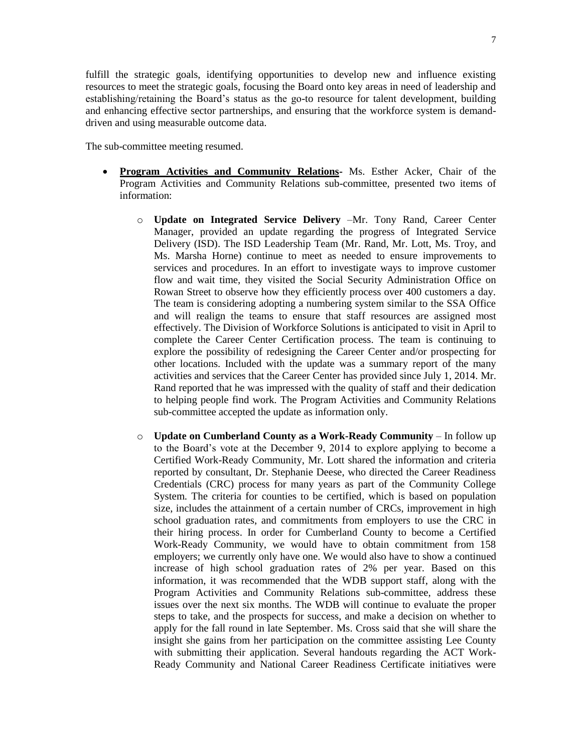The sub-committee meeting resumed.

- **Program Activities and Community Relations-** Ms. Esther Acker, Chair of the Program Activities and Community Relations sub-committee, presented two items of information:
	- o **Update on Integrated Service Delivery** –Mr. Tony Rand, Career Center Manager, provided an update regarding the progress of Integrated Service Delivery (ISD). The ISD Leadership Team (Mr. Rand, Mr. Lott, Ms. Troy, and Ms. Marsha Horne) continue to meet as needed to ensure improvements to services and procedures. In an effort to investigate ways to improve customer flow and wait time, they visited the Social Security Administration Office on Rowan Street to observe how they efficiently process over 400 customers a day. The team is considering adopting a numbering system similar to the SSA Office and will realign the teams to ensure that staff resources are assigned most effectively. The Division of Workforce Solutions is anticipated to visit in April to complete the Career Center Certification process. The team is continuing to explore the possibility of redesigning the Career Center and/or prospecting for other locations. Included with the update was a summary report of the many activities and services that the Career Center has provided since July 1, 2014. Mr. Rand reported that he was impressed with the quality of staff and their dedication to helping people find work. The Program Activities and Community Relations sub-committee accepted the update as information only.
	- o **Update on Cumberland County as a Work-Ready Community** In follow up to the Board's vote at the December 9, 2014 to explore applying to become a Certified Work-Ready Community, Mr. Lott shared the information and criteria reported by consultant, Dr. Stephanie Deese, who directed the Career Readiness Credentials (CRC) process for many years as part of the Community College System. The criteria for counties to be certified, which is based on population size, includes the attainment of a certain number of CRCs, improvement in high school graduation rates, and commitments from employers to use the CRC in their hiring process. In order for Cumberland County to become a Certified Work-Ready Community, we would have to obtain commitment from 158 employers; we currently only have one. We would also have to show a continued increase of high school graduation rates of 2% per year. Based on this information, it was recommended that the WDB support staff, along with the Program Activities and Community Relations sub-committee, address these issues over the next six months. The WDB will continue to evaluate the proper steps to take, and the prospects for success, and make a decision on whether to apply for the fall round in late September. Ms. Cross said that she will share the insight she gains from her participation on the committee assisting Lee County with submitting their application. Several handouts regarding the ACT Work-Ready Community and National Career Readiness Certificate initiatives were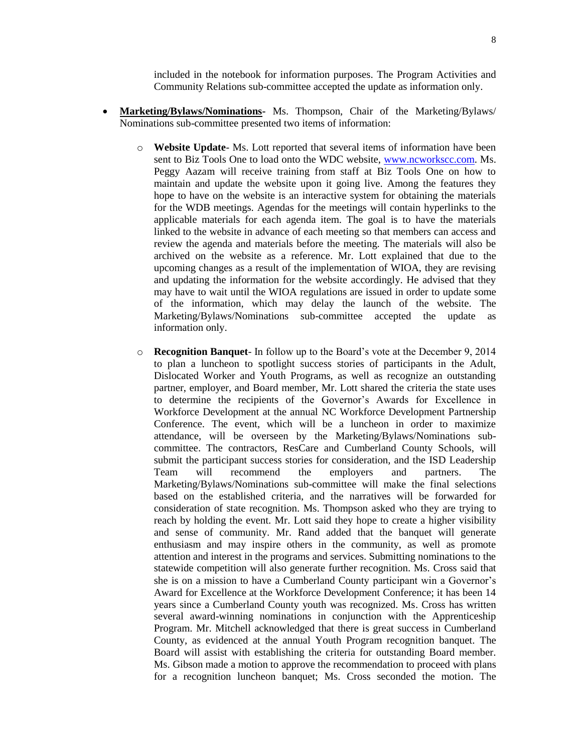included in the notebook for information purposes. The Program Activities and Community Relations sub-committee accepted the update as information only.

- **Marketing/Bylaws/Nominations-** Ms. Thompson, Chair of the Marketing/Bylaws/ Nominations sub-committee presented two items of information:
	- o **Website Update** Ms. Lott reported that several items of information have been sent to Biz Tools One to load onto the WDC website, [www.ncworkscc.com.](http://www.ncworkscc.com/) Ms. Peggy Aazam will receive training from staff at Biz Tools One on how to maintain and update the website upon it going live. Among the features they hope to have on the website is an interactive system for obtaining the materials for the WDB meetings. Agendas for the meetings will contain hyperlinks to the applicable materials for each agenda item. The goal is to have the materials linked to the website in advance of each meeting so that members can access and review the agenda and materials before the meeting. The materials will also be archived on the website as a reference. Mr. Lott explained that due to the upcoming changes as a result of the implementation of WIOA, they are revising and updating the information for the website accordingly. He advised that they may have to wait until the WIOA regulations are issued in order to update some of the information, which may delay the launch of the website. The Marketing/Bylaws/Nominations sub-committee accepted the update as information only.
	- o **Recognition Banquet** In follow up to the Board's vote at the December 9, 2014 to plan a luncheon to spotlight success stories of participants in the Adult, Dislocated Worker and Youth Programs, as well as recognize an outstanding partner, employer, and Board member, Mr. Lott shared the criteria the state uses to determine the recipients of the Governor's Awards for Excellence in Workforce Development at the annual NC Workforce Development Partnership Conference. The event, which will be a luncheon in order to maximize attendance, will be overseen by the Marketing/Bylaws/Nominations subcommittee. The contractors, ResCare and Cumberland County Schools, will submit the participant success stories for consideration, and the ISD Leadership Team will recommend the employers and partners. The Marketing/Bylaws/Nominations sub-committee will make the final selections based on the established criteria, and the narratives will be forwarded for consideration of state recognition. Ms. Thompson asked who they are trying to reach by holding the event. Mr. Lott said they hope to create a higher visibility and sense of community. Mr. Rand added that the banquet will generate enthusiasm and may inspire others in the community, as well as promote attention and interest in the programs and services. Submitting nominations to the statewide competition will also generate further recognition. Ms. Cross said that she is on a mission to have a Cumberland County participant win a Governor's Award for Excellence at the Workforce Development Conference; it has been 14 years since a Cumberland County youth was recognized. Ms. Cross has written several award-winning nominations in conjunction with the Apprenticeship Program. Mr. Mitchell acknowledged that there is great success in Cumberland County, as evidenced at the annual Youth Program recognition banquet. The Board will assist with establishing the criteria for outstanding Board member. Ms. Gibson made a motion to approve the recommendation to proceed with plans for a recognition luncheon banquet; Ms. Cross seconded the motion. The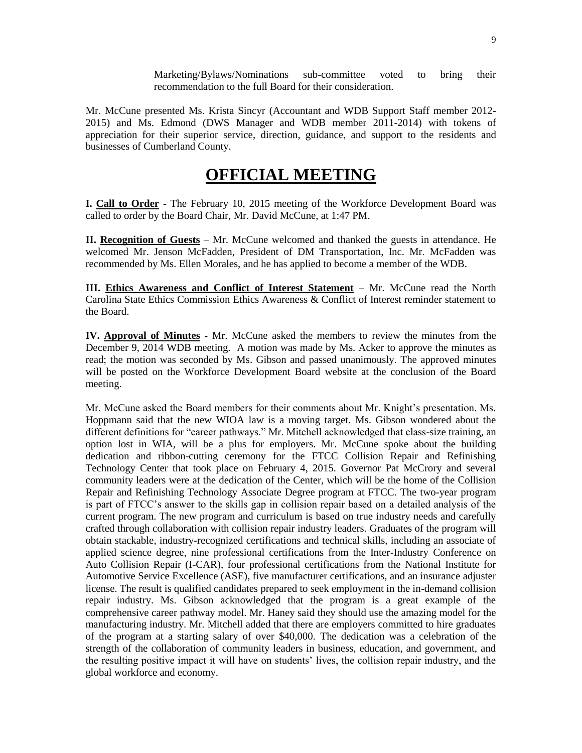Marketing/Bylaws/Nominations sub-committee voted to bring their recommendation to the full Board for their consideration.

Mr. McCune presented Ms. Krista Sincyr (Accountant and WDB Support Staff member 2012- 2015) and Ms. Edmond (DWS Manager and WDB member 2011-2014) with tokens of appreciation for their superior service, direction, guidance, and support to the residents and businesses of Cumberland County.

## **OFFICIAL MEETING**

**I. Call to Order -** The February 10, 2015 meeting of the Workforce Development Board was called to order by the Board Chair, Mr. David McCune, at 1:47 PM.

**II. Recognition of Guests** – Mr. McCune welcomed and thanked the guests in attendance. He welcomed Mr. Jenson McFadden, President of DM Transportation, Inc. Mr. McFadden was recommended by Ms. Ellen Morales, and he has applied to become a member of the WDB.

**III. Ethics Awareness and Conflict of Interest Statement** – Mr. McCune read the North Carolina State Ethics Commission Ethics Awareness & Conflict of Interest reminder statement to the Board.

**IV. Approval of Minutes -** Mr. McCune asked the members to review the minutes from the December 9, 2014 WDB meeting. A motion was made by Ms. Acker to approve the minutes as read; the motion was seconded by Ms. Gibson and passed unanimously. The approved minutes will be posted on the Workforce Development Board website at the conclusion of the Board meeting.

Mr. McCune asked the Board members for their comments about Mr. Knight's presentation. Ms. Hoppmann said that the new WIOA law is a moving target. Ms. Gibson wondered about the different definitions for "career pathways." Mr. Mitchell acknowledged that class-size training, an option lost in WIA, will be a plus for employers. Mr. McCune spoke about the building dedication and ribbon-cutting ceremony for the FTCC Collision Repair and Refinishing Technology Center that took place on February 4, 2015. Governor Pat McCrory and several community leaders were at the dedication of the Center, which will be the home of the Collision Repair and Refinishing Technology Associate Degree program at FTCC. The two-year program is part of FTCC's answer to the skills gap in collision repair based on a detailed analysis of the current program. The new program and curriculum is based on true industry needs and carefully crafted through collaboration with collision repair industry leaders. Graduates of the program will obtain stackable, industry-recognized certifications and technical skills, including an associate of applied science degree, nine professional certifications from the Inter-Industry Conference on Auto Collision Repair (I-CAR), four professional certifications from the National Institute for Automotive Service Excellence (ASE), five manufacturer certifications, and an insurance adjuster license. The result is qualified candidates prepared to seek employment in the in-demand collision repair industry. Ms. Gibson acknowledged that the program is a great example of the comprehensive career pathway model. Mr. Haney said they should use the amazing model for the manufacturing industry. Mr. Mitchell added that there are employers committed to hire graduates of the program at a starting salary of over \$40,000. The dedication was a celebration of the strength of the collaboration of community leaders in business, education, and government, and the resulting positive impact it will have on students' lives, the collision repair industry, and the global workforce and economy.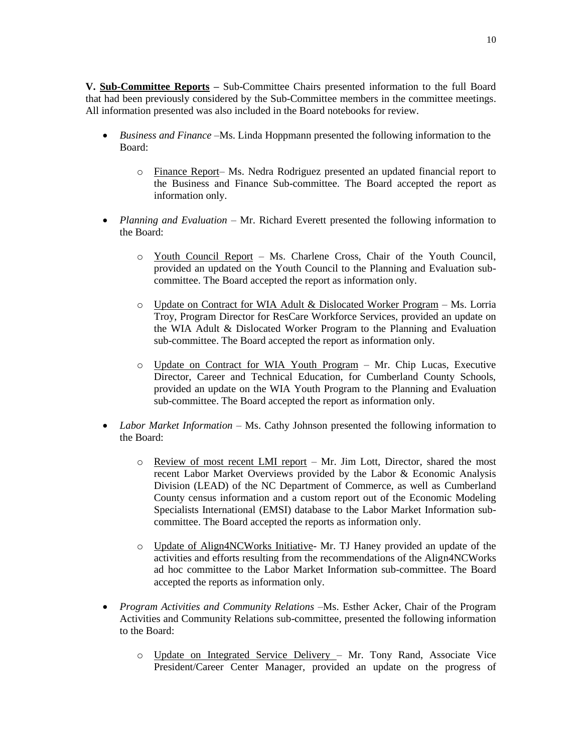**V. Sub-Committee Reports –** Sub-Committee Chairs presented information to the full Board that had been previously considered by the Sub-Committee members in the committee meetings. All information presented was also included in the Board notebooks for review.

- *Business and Finance –*Ms. Linda Hoppmann presented the following information to the Board:
	- o Finance Report– Ms. Nedra Rodriguez presented an updated financial report to the Business and Finance Sub-committee. The Board accepted the report as information only.
- *Planning and Evaluation* Mr. Richard Everett presented the following information to the Board:
	- o Youth Council Report Ms. Charlene Cross, Chair of the Youth Council, provided an updated on the Youth Council to the Planning and Evaluation subcommittee. The Board accepted the report as information only.
	- o Update on Contract for WIA Adult & Dislocated Worker Program Ms. Lorria Troy, Program Director for ResCare Workforce Services, provided an update on the WIA Adult & Dislocated Worker Program to the Planning and Evaluation sub-committee. The Board accepted the report as information only.
	- o Update on Contract for WIA Youth Program Mr. Chip Lucas, Executive Director, Career and Technical Education, for Cumberland County Schools, provided an update on the WIA Youth Program to the Planning and Evaluation sub-committee. The Board accepted the report as information only.
- *Labor Market Information* Ms. Cathy Johnson presented the following information to the Board:
	- $\circ$  Review of most recent LMI report Mr. Jim Lott, Director, shared the most recent Labor Market Overviews provided by the Labor & Economic Analysis Division (LEAD) of the NC Department of Commerce, as well as Cumberland County census information and a custom report out of the Economic Modeling Specialists International (EMSI) database to the Labor Market Information subcommittee. The Board accepted the reports as information only.
	- o Update of Align4NCWorks Initiative- Mr. TJ Haney provided an update of the activities and efforts resulting from the recommendations of the Align4NCWorks ad hoc committee to the Labor Market Information sub-committee. The Board accepted the reports as information only.
- *Program Activities and Community Relations –*Ms. Esther Acker, Chair of the Program Activities and Community Relations sub-committee, presented the following information to the Board:
	- o Update on Integrated Service Delivery Mr. Tony Rand, Associate Vice President/Career Center Manager, provided an update on the progress of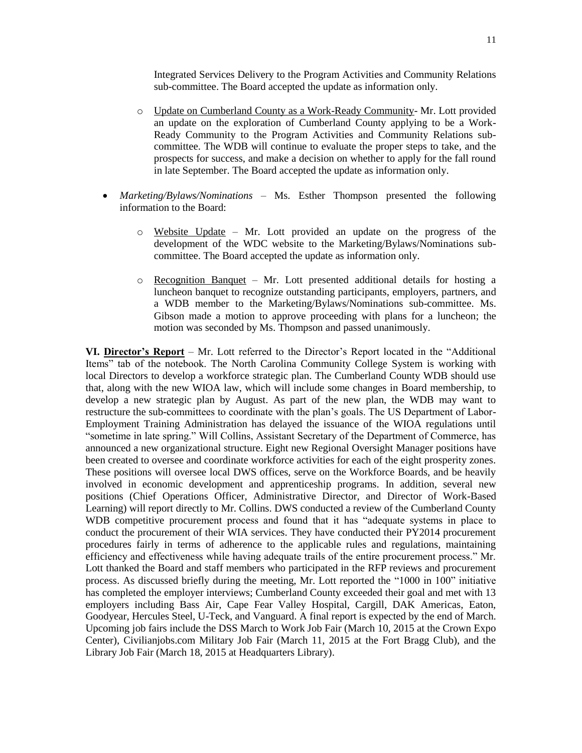Integrated Services Delivery to the Program Activities and Community Relations sub-committee. The Board accepted the update as information only.

- o Update on Cumberland County as a Work-Ready Community- Mr. Lott provided an update on the exploration of Cumberland County applying to be a Work-Ready Community to the Program Activities and Community Relations subcommittee. The WDB will continue to evaluate the proper steps to take, and the prospects for success, and make a decision on whether to apply for the fall round in late September. The Board accepted the update as information only.
- *Marketing/Bylaws/Nominations –* Ms. Esther Thompson presented the following information to the Board:
	- $\circ$  Website Update Mr. Lott provided an update on the progress of the development of the WDC website to the Marketing/Bylaws/Nominations subcommittee. The Board accepted the update as information only.
	- $\circ$  Recognition Banquet Mr. Lott presented additional details for hosting a luncheon banquet to recognize outstanding participants, employers, partners, and a WDB member to the Marketing/Bylaws/Nominations sub-committee. Ms. Gibson made a motion to approve proceeding with plans for a luncheon; the motion was seconded by Ms. Thompson and passed unanimously.

**VI. Director's Report** – Mr. Lott referred to the Director's Report located in the "Additional Items" tab of the notebook. The North Carolina Community College System is working with local Directors to develop a workforce strategic plan. The Cumberland County WDB should use that, along with the new WIOA law, which will include some changes in Board membership, to develop a new strategic plan by August. As part of the new plan, the WDB may want to restructure the sub-committees to coordinate with the plan's goals. The US Department of Labor-Employment Training Administration has delayed the issuance of the WIOA regulations until "sometime in late spring." Will Collins, Assistant Secretary of the Department of Commerce, has announced a new organizational structure. Eight new Regional Oversight Manager positions have been created to oversee and coordinate workforce activities for each of the eight prosperity zones. These positions will oversee local DWS offices, serve on the Workforce Boards, and be heavily involved in economic development and apprenticeship programs. In addition, several new positions (Chief Operations Officer, Administrative Director, and Director of Work-Based Learning) will report directly to Mr. Collins. DWS conducted a review of the Cumberland County WDB competitive procurement process and found that it has "adequate systems in place to conduct the procurement of their WIA services. They have conducted their PY2014 procurement procedures fairly in terms of adherence to the applicable rules and regulations, maintaining efficiency and effectiveness while having adequate trails of the entire procurement process." Mr. Lott thanked the Board and staff members who participated in the RFP reviews and procurement process. As discussed briefly during the meeting, Mr. Lott reported the "1000 in 100" initiative has completed the employer interviews; Cumberland County exceeded their goal and met with 13 employers including Bass Air, Cape Fear Valley Hospital, Cargill, DAK Americas, Eaton, Goodyear, Hercules Steel, U-Teck, and Vanguard. A final report is expected by the end of March. Upcoming job fairs include the DSS March to Work Job Fair (March 10, 2015 at the Crown Expo Center), Civilianjobs.com Military Job Fair (March 11, 2015 at the Fort Bragg Club), and the Library Job Fair (March 18, 2015 at Headquarters Library).